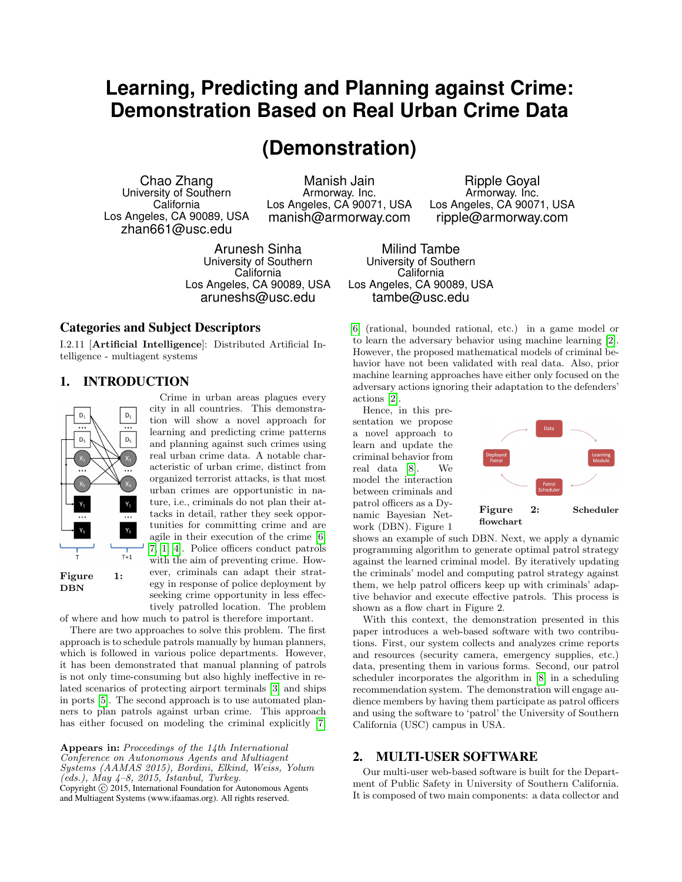# **Learning, Predicting and Planning against Crime: Demonstration Based on Real Urban Crime Data**

# **(Demonstration)**

Chao Zhang University of Southern California Los Angeles, CA 90089, USA zhan661@usc.edu

Manish Jain Armorway. Inc. Los Angeles, CA 90071, USA manish@armorway.com

Arunesh Sinha University of Southern **California** Los Angeles, CA 90089, USA aruneshs@usc.edu

## Categories and Subject Descriptors

I.2.11 [Artificial Intelligence]: Distributed Artificial Intelligence - multiagent systems

## 1. INTRODUCTION



Crime in urban areas plagues every city in all countries. This demonstration will show a novel approach for learning and predicting crime patterns and planning against such crimes using real urban crime data. A notable characteristic of urban crime, distinct from organized terrorist attacks, is that most urban crimes are opportunistic in nature, i.e., criminals do not plan their attacks in detail, rather they seek opportunities for committing crime and are agile in their execution of the crime [\[6,](#page-2-0) [7,](#page-2-1) [1,](#page-2-2) [4\]](#page-2-3). Police officers conduct patrols

with the aim of preventing crime. However, criminals can adapt their strategy in response of police deployment by seeking crime opportunity in less effectively patrolled location. The problem

of where and how much to patrol is therefore important. There are two approaches to solve this problem. The first

approach is to schedule patrols manually by human planners, which is followed in various police departments. However, it has been demonstrated that manual planning of patrols is not only time-consuming but also highly ineffective in related scenarios of protecting airport terminals [\[3\]](#page-2-4) and ships in ports [\[5\]](#page-2-5). The second approach is to use automated planners to plan patrols against urban crime. This approach has either focused on modeling the criminal explicitly [\[7,](#page-2-1)

Appears in: Proceedings of the 14th International Conference on Autonomous Agents and Multiagent Systems (AAMAS 2015), Bordini, Elkind, Weiss, Yolum  $(\text{eds.}),$   $\text{May }$  4-8, 2015, Istanbul, Turkey. Copyright  $\overline{c}$  2015, International Foundation for Autonomous Agents and Multiagent Systems (www.ifaamas.org). All rights reserved.

Ripple Goyal Armorway. Inc. Los Angeles, CA 90071, USA ripple@armorway.com

Milind Tambe University of Southern **California** Los Angeles, CA 90089, USA tambe@usc.edu

[6\]](#page-2-0) (rational, bounded rational, etc.) in a game model or to learn the adversary behavior using machine learning [\[2\]](#page-2-6). However, the proposed mathematical models of criminal behavior have not been validated with real data. Also, prior machine learning approaches have either only focused on the adversary actions ignoring their adaptation to the defenders' actions [\[2\]](#page-2-6).

Hence, in this presentation we propose a novel approach to learn and update the criminal behavior from real data [\[8\]](#page-2-7). We model the interaction between criminals and patrol officers as a Dynamic Bayesian Network (DBN). Figure 1



shows an example of such DBN. Next, we apply a dynamic programming algorithm to generate optimal patrol strategy against the learned criminal model. By iteratively updating the criminals' model and computing patrol strategy against them, we help patrol officers keep up with criminals' adaptive behavior and execute effective patrols. This process is shown as a flow chart in Figure 2.

With this context, the demonstration presented in this paper introduces a web-based software with two contributions. First, our system collects and analyzes crime reports and resources (security camera, emergency supplies, etc.) data, presenting them in various forms. Second, our patrol scheduler incorporates the algorithm in [\[8\]](#page-2-7) in a scheduling recommendation system. The demonstration will engage audience members by having them participate as patrol officers and using the software to 'patrol' the University of Southern California (USC) campus in USA.

## 2. MULTI-USER SOFTWARE

Our multi-user web-based software is built for the Department of Public Safety in University of Southern California. It is composed of two main components: a data collector and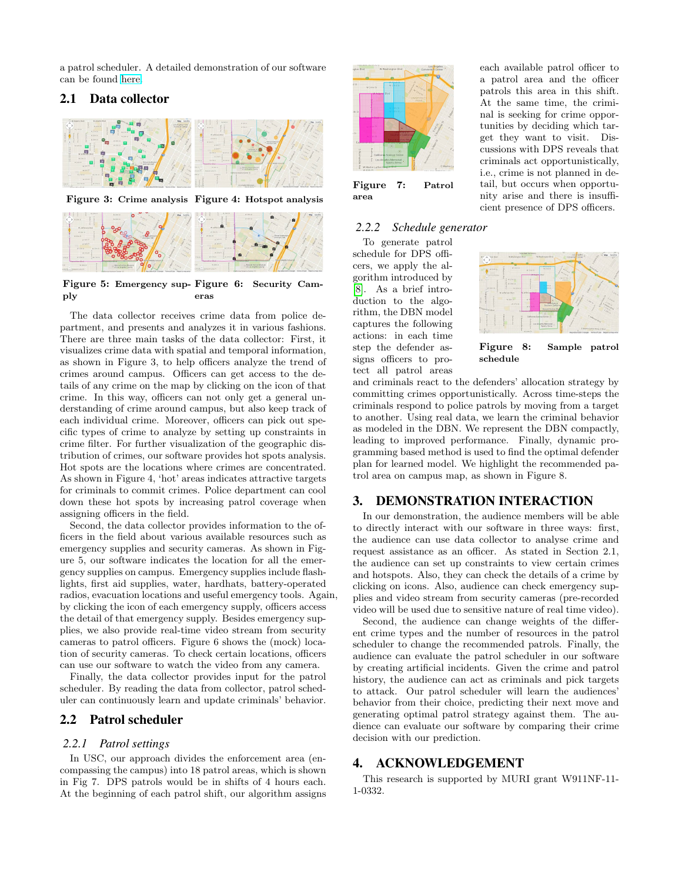a patrol scheduler. A detailed demonstration of our software can be found [here.](https://dl.dropboxusercontent.com/u/40377044/aamas_demo.pptx)

## 2.1 Data collector





Figure 5: Emergency sup-Figure 6: Security Camply eras

The data collector receives crime data from police department, and presents and analyzes it in various fashions. There are three main tasks of the data collector: First, it visualizes crime data with spatial and temporal information, as shown in Figure 3, to help officers analyze the trend of crimes around campus. Officers can get access to the details of any crime on the map by clicking on the icon of that crime. In this way, officers can not only get a general understanding of crime around campus, but also keep track of each individual crime. Moreover, officers can pick out specific types of crime to analyze by setting up constraints in crime filter. For further visualization of the geographic distribution of crimes, our software provides hot spots analysis. Hot spots are the locations where crimes are concentrated. As shown in Figure 4, 'hot' areas indicates attractive targets for criminals to commit crimes. Police department can cool down these hot spots by increasing patrol coverage when assigning officers in the field.

Second, the data collector provides information to the officers in the field about various available resources such as emergency supplies and security cameras. As shown in Figure 5, our software indicates the location for all the emergency supplies on campus. Emergency supplies include flashlights, first aid supplies, water, hardhats, battery-operated radios, evacuation locations and useful emergency tools. Again, by clicking the icon of each emergency supply, officers access the detail of that emergency supply. Besides emergency supplies, we also provide real-time video stream from security cameras to patrol officers. Figure 6 shows the (mock) location of security cameras. To check certain locations, officers can use our software to watch the video from any camera.

Finally, the data collector provides input for the patrol scheduler. By reading the data from collector, patrol scheduler can continuously learn and update criminals' behavior.

#### 2.2 Patrol scheduler

#### *2.2.1 Patrol settings*

In USC, our approach divides the enforcement area (encompassing the campus) into 18 patrol areas, which is shown in Fig 7. DPS patrols would be in shifts of 4 hours each. At the beginning of each patrol shift, our algorithm assigns



Figure 7: Patrol area

#### *2.2.2 Schedule generator*

To generate patrol schedule for DPS officers, we apply the algorithm introduced by [\[8\]](#page-2-7). As a brief introduction to the algorithm, the DBN model captures the following actions: in each time step the defender assigns officers to protect all patrol areas



Figure 8: Sample patrol schedule

and criminals react to the defenders' allocation strategy by committing crimes opportunistically. Across time-steps the criminals respond to police patrols by moving from a target to another. Using real data, we learn the criminal behavior as modeled in the DBN. We represent the DBN compactly, leading to improved performance. Finally, dynamic programming based method is used to find the optimal defender plan for learned model. We highlight the recommended patrol area on campus map, as shown in Figure 8.

#### 3. DEMONSTRATION INTERACTION

In our demonstration, the audience members will be able to directly interact with our software in three ways: first, the audience can use data collector to analyse crime and request assistance as an officer. As stated in Section 2.1, the audience can set up constraints to view certain crimes and hotspots. Also, they can check the details of a crime by clicking on icons. Also, audience can check emergency supplies and video stream from security cameras (pre-recorded video will be used due to sensitive nature of real time video).

Second, the audience can change weights of the different crime types and the number of resources in the patrol scheduler to change the recommended patrols. Finally, the audience can evaluate the patrol scheduler in our software by creating artificial incidents. Given the crime and patrol history, the audience can act as criminals and pick targets to attack. Our patrol scheduler will learn the audiences' behavior from their choice, predicting their next move and generating optimal patrol strategy against them. The audience can evaluate our software by comparing their crime decision with our prediction.

# 4. ACKNOWLEDGEMENT

This research is supported by MURI grant W911NF-11- 1-0332.

each available patrol officer to a patrol area and the officer patrols this area in this shift. At the same time, the criminal is seeking for crime opportunities by deciding which target they want to visit. Discussions with DPS reveals that criminals act opportunistically, i.e., crime is not planned in detail, but occurs when opportunity arise and there is insufficient presence of DPS officers.